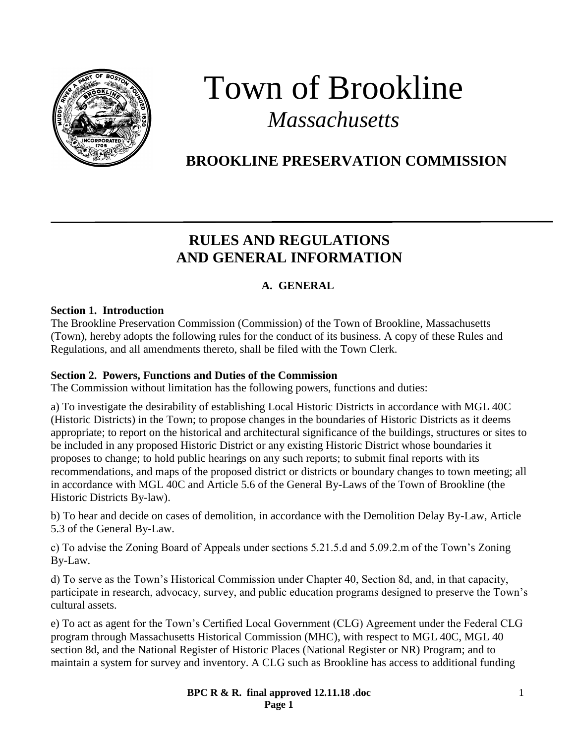

# Town of Brookline *Massachusetts*

# **BROOKLINE PRESERVATION COMMISSION**

# **RULES AND REGULATIONS AND GENERAL INFORMATION**

# **A. GENERAL**

#### **Section 1. Introduction**

The Brookline Preservation Commission (Commission) of the Town of Brookline, Massachusetts (Town), hereby adopts the following rules for the conduct of its business. A copy of these Rules and Regulations, and all amendments thereto, shall be filed with the Town Clerk.

#### **Section 2. Powers, Functions and Duties of the Commission**

The Commission without limitation has the following powers, functions and duties:

a) To investigate the desirability of establishing Local Historic Districts in accordance with MGL 40C (Historic Districts) in the Town; to propose changes in the boundaries of Historic Districts as it deems appropriate; to report on the historical and architectural significance of the buildings, structures or sites to be included in any proposed Historic District or any existing Historic District whose boundaries it proposes to change; to hold public hearings on any such reports; to submit final reports with its recommendations, and maps of the proposed district or districts or boundary changes to town meeting; all in accordance with MGL 40C and Article 5.6 of the General By-Laws of the Town of Brookline (the Historic Districts By-law).

b) To hear and decide on cases of demolition, in accordance with the Demolition Delay By-Law, Article 5.3 of the General By-Law.

c) To advise the Zoning Board of Appeals under sections 5.21.5.d and 5.09.2.m of the Town's Zoning By-Law.

d) To serve as the Town's Historical Commission under Chapter 40, Section 8d, and, in that capacity, participate in research, advocacy, survey, and public education programs designed to preserve the Town's cultural assets.

e) To act as agent for the Town's Certified Local Government (CLG) Agreement under the Federal CLG program through Massachusetts Historical Commission (MHC), with respect to MGL 40C, MGL 40 section 8d, and the National Register of Historic Places (National Register or NR) Program; and to maintain a system for survey and inventory. A CLG such as Brookline has access to additional funding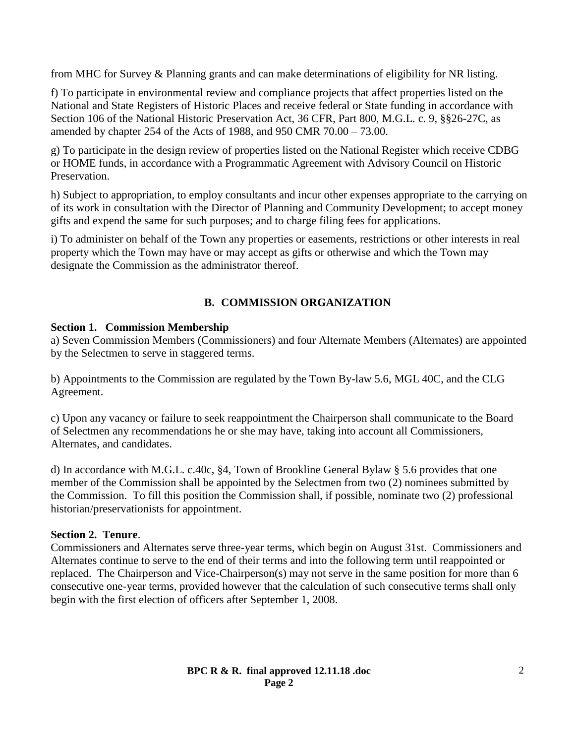from MHC for Survey & Planning grants and can make determinations of eligibility for NR listing.

f) To participate in environmental review and compliance projects that affect properties listed on the National and State Registers of Historic Places and receive federal or State funding in accordance with Section 106 of the National Historic Preservation Act, 36 CFR, Part 800, M.G.L. c. 9, §§26-27C, as amended by chapter 254 of the Acts of 1988, and 950 CMR 70.00 – 73.00.

g) To participate in the design review of properties listed on the National Register which receive CDBG or HOME funds, in accordance with a Programmatic Agreement with Advisory Council on Historic Preservation.

h) Subject to appropriation, to employ consultants and incur other expenses appropriate to the carrying on of its work in consultation with the Director of Planning and Community Development; to accept money gifts and expend the same for such purposes; and to charge filing fees for applications.

i) To administer on behalf of the Town any properties or easements, restrictions or other interests in real property which the Town may have or may accept as gifts or otherwise and which the Town may designate the Commission as the administrator thereof.

# **B. COMMISSION ORGANIZATION**

# **Section 1. Commission Membership**

a) Seven Commission Members (Commissioners) and four Alternate Members (Alternates) are appointed by the Selectmen to serve in staggered terms.

b) Appointments to the Commission are regulated by the Town By-law 5.6, MGL 40C, and the CLG Agreement.

c) Upon any vacancy or failure to seek reappointment the Chairperson shall communicate to the Board of Selectmen any recommendations he or she may have, taking into account all Commissioners, Alternates, and candidates.

d) In accordance with M.G.L. c.40c, §4, Town of Brookline General Bylaw § 5.6 provides that one member of the Commission shall be appointed by the Selectmen from two (2) nominees submitted by the Commission. To fill this position the Commission shall, if possible, nominate two (2) professional historian/preservationists for appointment.

# **Section 2. Tenure**.

Commissioners and Alternates serve three-year terms, which begin on August 31st. Commissioners and Alternates continue to serve to the end of their terms and into the following term until reappointed or replaced. The Chairperson and Vice-Chairperson(s) may not serve in the same position for more than 6 consecutive one-year terms, provided however that the calculation of such consecutive terms shall only begin with the first election of officers after September 1, 2008.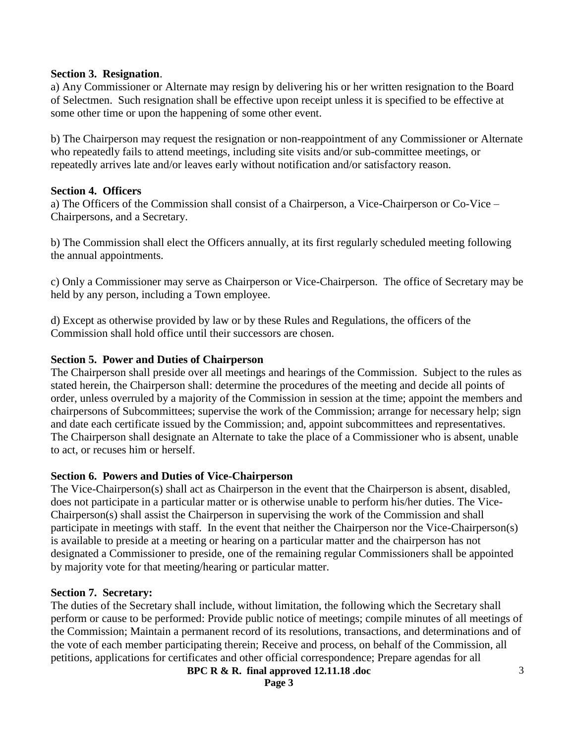#### **Section 3. Resignation**.

a) Any Commissioner or Alternate may resign by delivering his or her written resignation to the Board of Selectmen. Such resignation shall be effective upon receipt unless it is specified to be effective at some other time or upon the happening of some other event.

b) The Chairperson may request the resignation or non-reappointment of any Commissioner or Alternate who repeatedly fails to attend meetings, including site visits and/or sub-committee meetings, or repeatedly arrives late and/or leaves early without notification and/or satisfactory reason.

#### **Section 4. Officers**

a) The Officers of the Commission shall consist of a Chairperson, a Vice-Chairperson or Co-Vice – Chairpersons, and a Secretary.

b) The Commission shall elect the Officers annually, at its first regularly scheduled meeting following the annual appointments.

c) Only a Commissioner may serve as Chairperson or Vice-Chairperson. The office of Secretary may be held by any person, including a Town employee.

d) Except as otherwise provided by law or by these Rules and Regulations, the officers of the Commission shall hold office until their successors are chosen.

#### **Section 5. Power and Duties of Chairperson**

The Chairperson shall preside over all meetings and hearings of the Commission. Subject to the rules as stated herein, the Chairperson shall: determine the procedures of the meeting and decide all points of order, unless overruled by a majority of the Commission in session at the time; appoint the members and chairpersons of Subcommittees; supervise the work of the Commission; arrange for necessary help; sign and date each certificate issued by the Commission; and, appoint subcommittees and representatives. The Chairperson shall designate an Alternate to take the place of a Commissioner who is absent, unable to act, or recuses him or herself.

# **Section 6. Powers and Duties of Vice-Chairperson**

The Vice-Chairperson(s) shall act as Chairperson in the event that the Chairperson is absent, disabled, does not participate in a particular matter or is otherwise unable to perform his/her duties. The Vice-Chairperson(s) shall assist the Chairperson in supervising the work of the Commission and shall participate in meetings with staff. In the event that neither the Chairperson nor the Vice-Chairperson(s) is available to preside at a meeting or hearing on a particular matter and the chairperson has not designated a Commissioner to preside, one of the remaining regular Commissioners shall be appointed by majority vote for that meeting/hearing or particular matter.

#### **Section 7. Secretary:**

The duties of the Secretary shall include, without limitation, the following which the Secretary shall perform or cause to be performed: Provide public notice of meetings; compile minutes of all meetings of the Commission; Maintain a permanent record of its resolutions, transactions, and determinations and of the vote of each member participating therein; Receive and process, on behalf of the Commission, all petitions, applications for certificates and other official correspondence; Prepare agendas for all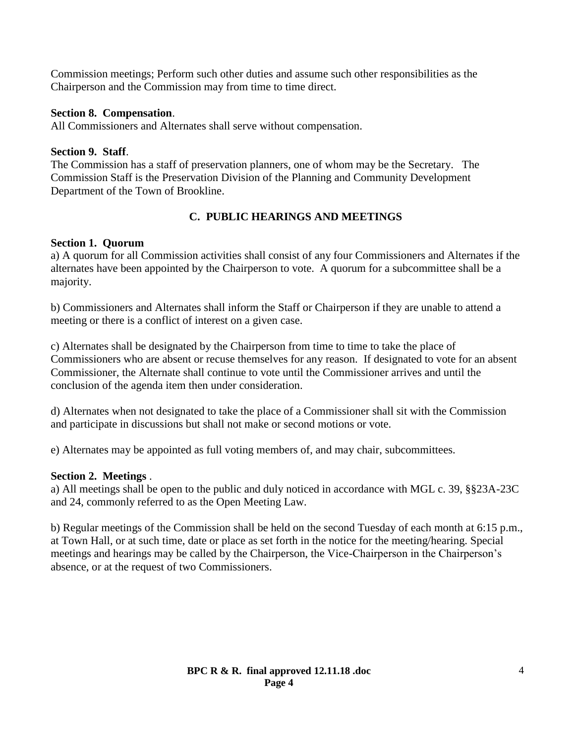Commission meetings; Perform such other duties and assume such other responsibilities as the Chairperson and the Commission may from time to time direct.

# **Section 8. Compensation**.

All Commissioners and Alternates shall serve without compensation.

# **Section 9. Staff**.

The Commission has a staff of preservation planners, one of whom may be the Secretary. The Commission Staff is the Preservation Division of the Planning and Community Development Department of the Town of Brookline.

# **C. PUBLIC HEARINGS AND MEETINGS**

# **Section 1. Quorum**

a) A quorum for all Commission activities shall consist of any four Commissioners and Alternates if the alternates have been appointed by the Chairperson to vote. A quorum for a subcommittee shall be a majority.

b) Commissioners and Alternates shall inform the Staff or Chairperson if they are unable to attend a meeting or there is a conflict of interest on a given case.

c) Alternates shall be designated by the Chairperson from time to time to take the place of Commissioners who are absent or recuse themselves for any reason. If designated to vote for an absent Commissioner, the Alternate shall continue to vote until the Commissioner arrives and until the conclusion of the agenda item then under consideration.

d) Alternates when not designated to take the place of a Commissioner shall sit with the Commission and participate in discussions but shall not make or second motions or vote.

e) Alternates may be appointed as full voting members of, and may chair, subcommittees.

# **Section 2. Meetings** .

a) All meetings shall be open to the public and duly noticed in accordance with MGL c. 39, §§23A-23C and 24, commonly referred to as the Open Meeting Law.

b) Regular meetings of the Commission shall be held on the second Tuesday of each month at 6:15 p.m., at Town Hall, or at such time, date or place as set forth in the notice for the meeting/hearing. Special meetings and hearings may be called by the Chairperson, the Vice-Chairperson in the Chairperson's absence, or at the request of two Commissioners.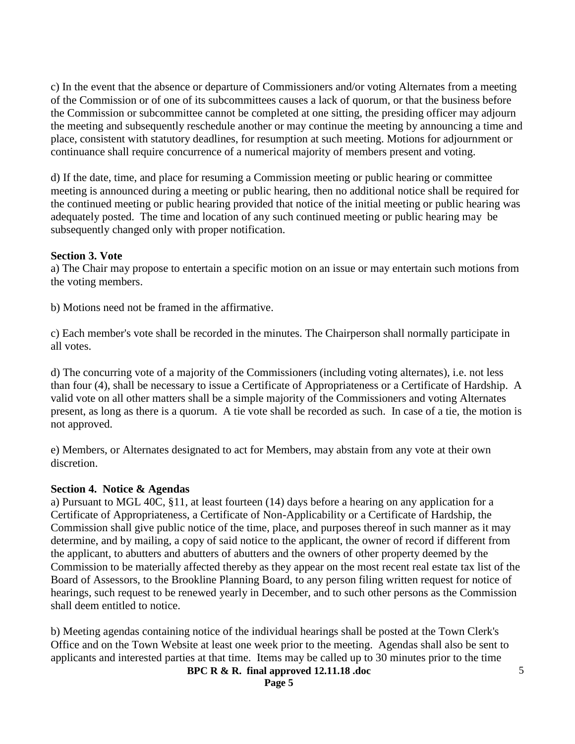c) In the event that the absence or departure of Commissioners and/or voting Alternates from a meeting of the Commission or of one of its subcommittees causes a lack of quorum, or that the business before the Commission or subcommittee cannot be completed at one sitting, the presiding officer may adjourn the meeting and subsequently reschedule another or may continue the meeting by announcing a time and place, consistent with statutory deadlines, for resumption at such meeting. Motions for adjournment or continuance shall require concurrence of a numerical majority of members present and voting.

d) If the date, time, and place for resuming a Commission meeting or public hearing or committee meeting is announced during a meeting or public hearing, then no additional notice shall be required for the continued meeting or public hearing provided that notice of the initial meeting or public hearing was adequately posted. The time and location of any such continued meeting or public hearing may be subsequently changed only with proper notification.

#### **Section 3. Vote**

a) The Chair may propose to entertain a specific motion on an issue or may entertain such motions from the voting members.

b) Motions need not be framed in the affirmative.

c) Each member's vote shall be recorded in the minutes. The Chairperson shall normally participate in all votes.

d) The concurring vote of a majority of the Commissioners (including voting alternates), i.e. not less than four (4), shall be necessary to issue a Certificate of Appropriateness or a Certificate of Hardship. A valid vote on all other matters shall be a simple majority of the Commissioners and voting Alternates present, as long as there is a quorum. A tie vote shall be recorded as such. In case of a tie, the motion is not approved.

e) Members, or Alternates designated to act for Members, may abstain from any vote at their own discretion.

#### **Section 4. Notice & Agendas**

a) Pursuant to MGL 40C, §11, at least fourteen (14) days before a hearing on any application for a Certificate of Appropriateness, a Certificate of Non-Applicability or a Certificate of Hardship, the Commission shall give public notice of the time, place, and purposes thereof in such manner as it may determine, and by mailing, a copy of said notice to the applicant, the owner of record if different from the applicant, to abutters and abutters of abutters and the owners of other property deemed by the Commission to be materially affected thereby as they appear on the most recent real estate tax list of the Board of Assessors, to the Brookline Planning Board, to any person filing written request for notice of hearings, such request to be renewed yearly in December, and to such other persons as the Commission shall deem entitled to notice.

b) Meeting agendas containing notice of the individual hearings shall be posted at the Town Clerk's Office and on the Town Website at least one week prior to the meeting. Agendas shall also be sent to applicants and interested parties at that time. Items may be called up to 30 minutes prior to the time

**BPC R & R. final approved 12.11.18 .doc**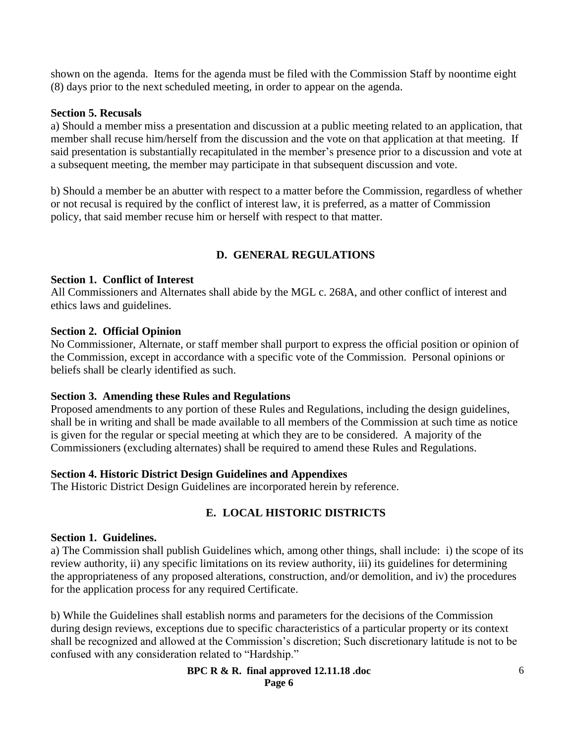shown on the agenda. Items for the agenda must be filed with the Commission Staff by noontime eight (8) days prior to the next scheduled meeting, in order to appear on the agenda.

#### **Section 5. Recusals**

a) Should a member miss a presentation and discussion at a public meeting related to an application, that member shall recuse him/herself from the discussion and the vote on that application at that meeting. If said presentation is substantially recapitulated in the member's presence prior to a discussion and vote at a subsequent meeting, the member may participate in that subsequent discussion and vote.

b) Should a member be an abutter with respect to a matter before the Commission, regardless of whether or not recusal is required by the conflict of interest law, it is preferred, as a matter of Commission policy, that said member recuse him or herself with respect to that matter.

# **D. GENERAL REGULATIONS**

#### **Section 1. Conflict of Interest**

All Commissioners and Alternates shall abide by the MGL c. 268A, and other conflict of interest and ethics laws and guidelines.

#### **Section 2. Official Opinion**

No Commissioner, Alternate, or staff member shall purport to express the official position or opinion of the Commission, except in accordance with a specific vote of the Commission. Personal opinions or beliefs shall be clearly identified as such.

# **Section 3. Amending these Rules and Regulations**

Proposed amendments to any portion of these Rules and Regulations, including the design guidelines, shall be in writing and shall be made available to all members of the Commission at such time as notice is given for the regular or special meeting at which they are to be considered. A majority of the Commissioners (excluding alternates) shall be required to amend these Rules and Regulations.

#### **Section 4. Historic District Design Guidelines and Appendixes**

The Historic District Design Guidelines are incorporated herein by reference.

# **E. LOCAL HISTORIC DISTRICTS**

#### **Section 1. Guidelines.**

a) The Commission shall publish Guidelines which, among other things, shall include: i) the scope of its review authority, ii) any specific limitations on its review authority, iii) its guidelines for determining the appropriateness of any proposed alterations, construction, and/or demolition, and iv) the procedures for the application process for any required Certificate.

b) While the Guidelines shall establish norms and parameters for the decisions of the Commission during design reviews, exceptions due to specific characteristics of a particular property or its context shall be recognized and allowed at the Commission's discretion; Such discretionary latitude is not to be confused with any consideration related to "Hardship."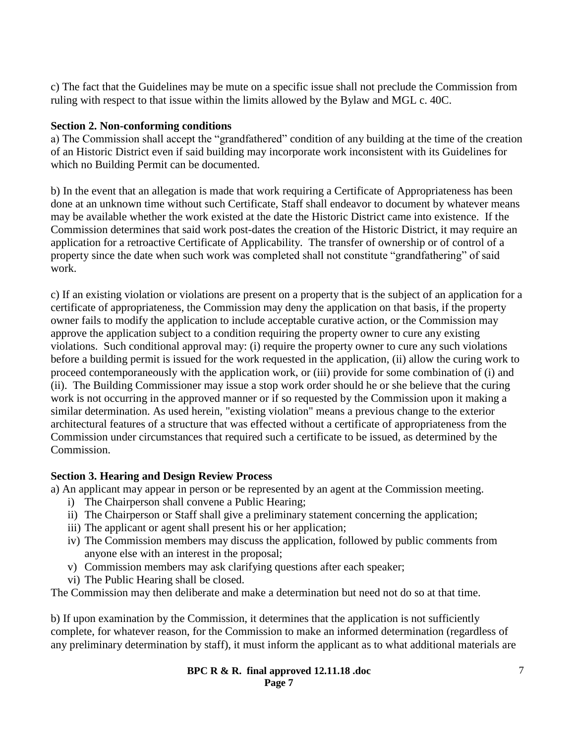c) The fact that the Guidelines may be mute on a specific issue shall not preclude the Commission from ruling with respect to that issue within the limits allowed by the Bylaw and MGL c. 40C.

# **Section 2. Non-conforming conditions**

a) The Commission shall accept the "grandfathered" condition of any building at the time of the creation of an Historic District even if said building may incorporate work inconsistent with its Guidelines for which no Building Permit can be documented.

b) In the event that an allegation is made that work requiring a Certificate of Appropriateness has been done at an unknown time without such Certificate, Staff shall endeavor to document by whatever means may be available whether the work existed at the date the Historic District came into existence. If the Commission determines that said work post-dates the creation of the Historic District, it may require an application for a retroactive Certificate of Applicability. The transfer of ownership or of control of a property since the date when such work was completed shall not constitute "grandfathering" of said work.

c) If an existing violation or violations are present on a property that is the subject of an application for a certificate of appropriateness, the Commission may deny the application on that basis, if the property owner fails to modify the application to include acceptable curative action, or the Commission may approve the application subject to a condition requiring the property owner to cure any existing violations. Such conditional approval may: (i) require the property owner to cure any such violations before a building permit is issued for the work requested in the application, (ii) allow the curing work to proceed contemporaneously with the application work, or (iii) provide for some combination of (i) and (ii). The Building Commissioner may issue a stop work order should he or she believe that the curing work is not occurring in the approved manner or if so requested by the Commission upon it making a similar determination. As used herein, "existing violation" means a previous change to the exterior architectural features of a structure that was effected without a certificate of appropriateness from the Commission under circumstances that required such a certificate to be issued, as determined by the Commission.

# **Section 3. Hearing and Design Review Process**

a) An applicant may appear in person or be represented by an agent at the Commission meeting.

- i) The Chairperson shall convene a Public Hearing;
- ii) The Chairperson or Staff shall give a preliminary statement concerning the application;
- iii) The applicant or agent shall present his or her application;
- iv) The Commission members may discuss the application, followed by public comments from anyone else with an interest in the proposal;
- v) Commission members may ask clarifying questions after each speaker;
- vi) The Public Hearing shall be closed.

The Commission may then deliberate and make a determination but need not do so at that time.

b) If upon examination by the Commission, it determines that the application is not sufficiently complete, for whatever reason, for the Commission to make an informed determination (regardless of any preliminary determination by staff), it must inform the applicant as to what additional materials are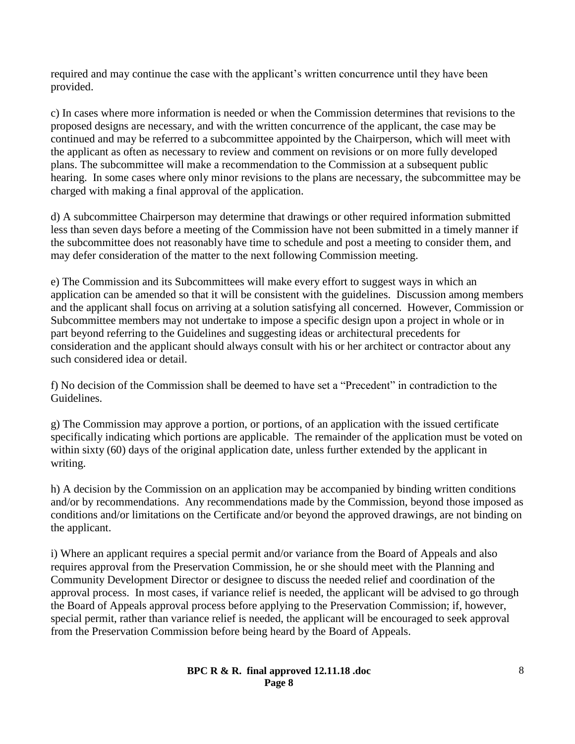required and may continue the case with the applicant's written concurrence until they have been provided.

c) In cases where more information is needed or when the Commission determines that revisions to the proposed designs are necessary, and with the written concurrence of the applicant, the case may be continued and may be referred to a subcommittee appointed by the Chairperson, which will meet with the applicant as often as necessary to review and comment on revisions or on more fully developed plans. The subcommittee will make a recommendation to the Commission at a subsequent public hearing. In some cases where only minor revisions to the plans are necessary, the subcommittee may be charged with making a final approval of the application.

d) A subcommittee Chairperson may determine that drawings or other required information submitted less than seven days before a meeting of the Commission have not been submitted in a timely manner if the subcommittee does not reasonably have time to schedule and post a meeting to consider them, and may defer consideration of the matter to the next following Commission meeting.

e) The Commission and its Subcommittees will make every effort to suggest ways in which an application can be amended so that it will be consistent with the guidelines. Discussion among members and the applicant shall focus on arriving at a solution satisfying all concerned. However, Commission or Subcommittee members may not undertake to impose a specific design upon a project in whole or in part beyond referring to the Guidelines and suggesting ideas or architectural precedents for consideration and the applicant should always consult with his or her architect or contractor about any such considered idea or detail.

f) No decision of the Commission shall be deemed to have set a "Precedent" in contradiction to the Guidelines.

g) The Commission may approve a portion, or portions, of an application with the issued certificate specifically indicating which portions are applicable. The remainder of the application must be voted on within sixty (60) days of the original application date, unless further extended by the applicant in writing.

h) A decision by the Commission on an application may be accompanied by binding written conditions and/or by recommendations. Any recommendations made by the Commission, beyond those imposed as conditions and/or limitations on the Certificate and/or beyond the approved drawings, are not binding on the applicant.

i) Where an applicant requires a special permit and/or variance from the Board of Appeals and also requires approval from the Preservation Commission, he or she should meet with the Planning and Community Development Director or designee to discuss the needed relief and coordination of the approval process. In most cases, if variance relief is needed, the applicant will be advised to go through the Board of Appeals approval process before applying to the Preservation Commission; if, however, special permit, rather than variance relief is needed, the applicant will be encouraged to seek approval from the Preservation Commission before being heard by the Board of Appeals.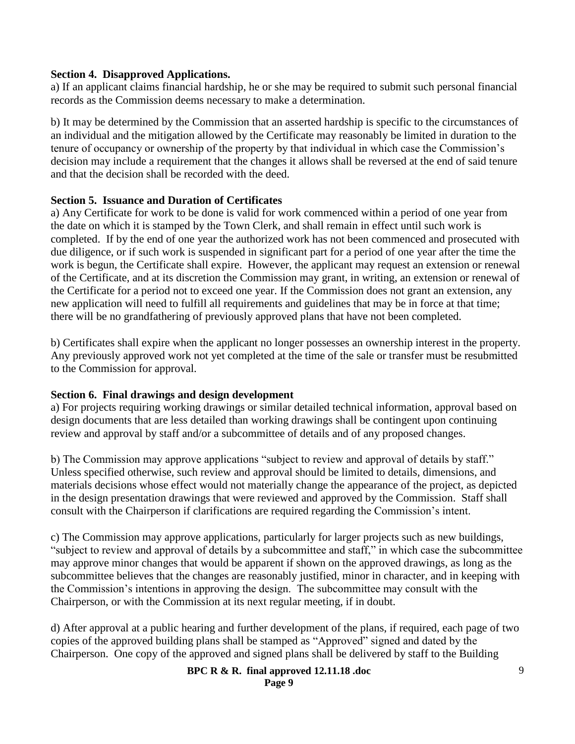#### **Section 4. Disapproved Applications.**

a) If an applicant claims financial hardship, he or she may be required to submit such personal financial records as the Commission deems necessary to make a determination.

b) It may be determined by the Commission that an asserted hardship is specific to the circumstances of an individual and the mitigation allowed by the Certificate may reasonably be limited in duration to the tenure of occupancy or ownership of the property by that individual in which case the Commission's decision may include a requirement that the changes it allows shall be reversed at the end of said tenure and that the decision shall be recorded with the deed.

#### **Section 5. Issuance and Duration of Certificates**

a) Any Certificate for work to be done is valid for work commenced within a period of one year from the date on which it is stamped by the Town Clerk, and shall remain in effect until such work is completed. If by the end of one year the authorized work has not been commenced and prosecuted with due diligence, or if such work is suspended in significant part for a period of one year after the time the work is begun, the Certificate shall expire. However, the applicant may request an extension or renewal of the Certificate, and at its discretion the Commission may grant, in writing, an extension or renewal of the Certificate for a period not to exceed one year. If the Commission does not grant an extension, any new application will need to fulfill all requirements and guidelines that may be in force at that time; there will be no grandfathering of previously approved plans that have not been completed.

b) Certificates shall expire when the applicant no longer possesses an ownership interest in the property. Any previously approved work not yet completed at the time of the sale or transfer must be resubmitted to the Commission for approval.

# **Section 6. Final drawings and design development**

a) For projects requiring working drawings or similar detailed technical information, approval based on design documents that are less detailed than working drawings shall be contingent upon continuing review and approval by staff and/or a subcommittee of details and of any proposed changes.

b) The Commission may approve applications "subject to review and approval of details by staff." Unless specified otherwise, such review and approval should be limited to details, dimensions, and materials decisions whose effect would not materially change the appearance of the project, as depicted in the design presentation drawings that were reviewed and approved by the Commission. Staff shall consult with the Chairperson if clarifications are required regarding the Commission's intent.

c) The Commission may approve applications, particularly for larger projects such as new buildings, "subject to review and approval of details by a subcommittee and staff," in which case the subcommittee may approve minor changes that would be apparent if shown on the approved drawings, as long as the subcommittee believes that the changes are reasonably justified, minor in character, and in keeping with the Commission's intentions in approving the design. The subcommittee may consult with the Chairperson, or with the Commission at its next regular meeting, if in doubt.

d) After approval at a public hearing and further development of the plans, if required, each page of two copies of the approved building plans shall be stamped as "Approved" signed and dated by the Chairperson. One copy of the approved and signed plans shall be delivered by staff to the Building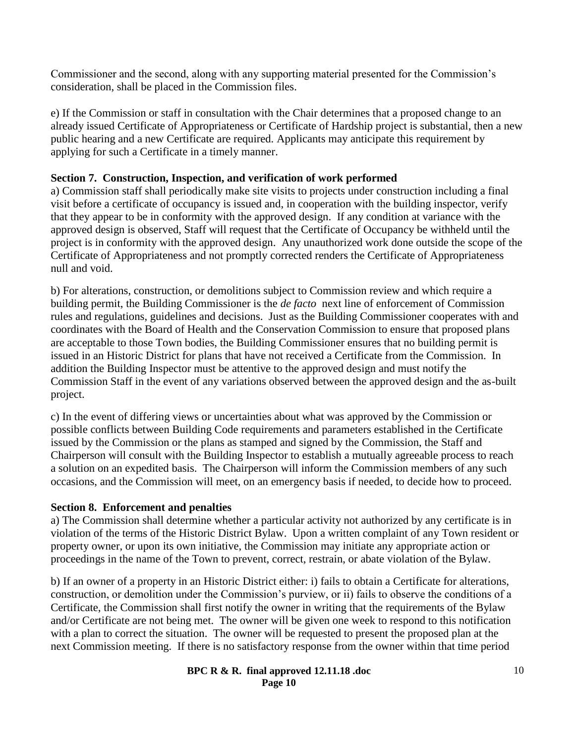Commissioner and the second, along with any supporting material presented for the Commission's consideration, shall be placed in the Commission files.

e) If the Commission or staff in consultation with the Chair determines that a proposed change to an already issued Certificate of Appropriateness or Certificate of Hardship project is substantial, then a new public hearing and a new Certificate are required. Applicants may anticipate this requirement by applying for such a Certificate in a timely manner.

# **Section 7. Construction, Inspection, and verification of work performed**

a) Commission staff shall periodically make site visits to projects under construction including a final visit before a certificate of occupancy is issued and, in cooperation with the building inspector, verify that they appear to be in conformity with the approved design. If any condition at variance with the approved design is observed, Staff will request that the Certificate of Occupancy be withheld until the project is in conformity with the approved design. Any unauthorized work done outside the scope of the Certificate of Appropriateness and not promptly corrected renders the Certificate of Appropriateness null and void.

b) For alterations, construction, or demolitions subject to Commission review and which require a building permit, the Building Commissioner is the *de facto* next line of enforcement of Commission rules and regulations, guidelines and decisions. Just as the Building Commissioner cooperates with and coordinates with the Board of Health and the Conservation Commission to ensure that proposed plans are acceptable to those Town bodies, the Building Commissioner ensures that no building permit is issued in an Historic District for plans that have not received a Certificate from the Commission. In addition the Building Inspector must be attentive to the approved design and must notify the Commission Staff in the event of any variations observed between the approved design and the as-built project.

c) In the event of differing views or uncertainties about what was approved by the Commission or possible conflicts between Building Code requirements and parameters established in the Certificate issued by the Commission or the plans as stamped and signed by the Commission, the Staff and Chairperson will consult with the Building Inspector to establish a mutually agreeable process to reach a solution on an expedited basis. The Chairperson will inform the Commission members of any such occasions, and the Commission will meet, on an emergency basis if needed, to decide how to proceed.

# **Section 8. Enforcement and penalties**

a) The Commission shall determine whether a particular activity not authorized by any certificate is in violation of the terms of the Historic District Bylaw. Upon a written complaint of any Town resident or property owner, or upon its own initiative, the Commission may initiate any appropriate action or proceedings in the name of the Town to prevent, correct, restrain, or abate violation of the Bylaw.

b) If an owner of a property in an Historic District either: i) fails to obtain a Certificate for alterations, construction, or demolition under the Commission's purview, or ii) fails to observe the conditions of a Certificate, the Commission shall first notify the owner in writing that the requirements of the Bylaw and/or Certificate are not being met. The owner will be given one week to respond to this notification with a plan to correct the situation. The owner will be requested to present the proposed plan at the next Commission meeting. If there is no satisfactory response from the owner within that time period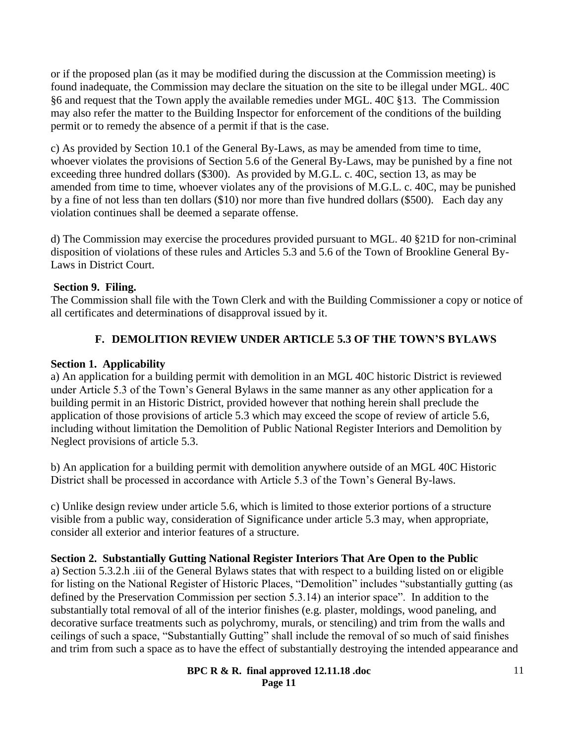or if the proposed plan (as it may be modified during the discussion at the Commission meeting) is found inadequate, the Commission may declare the situation on the site to be illegal under MGL. 40C §6 and request that the Town apply the available remedies under MGL. 40C §13. The Commission may also refer the matter to the Building Inspector for enforcement of the conditions of the building permit or to remedy the absence of a permit if that is the case.

c) As provided by Section 10.1 of the General By-Laws, as may be amended from time to time, whoever violates the provisions of Section 5.6 of the General By-Laws, may be punished by a fine not exceeding three hundred dollars (\$300). As provided by M.G.L. c. 40C, section 13, as may be amended from time to time, whoever violates any of the provisions of M.G.L. c. 40C, may be punished by a fine of not less than ten dollars (\$10) nor more than five hundred dollars (\$500). Each day any violation continues shall be deemed a separate offense.

d) The Commission may exercise the procedures provided pursuant to MGL. 40 §21D for non-criminal disposition of violations of these rules and Articles 5.3 and 5.6 of the Town of Brookline General By-Laws in District Court.

# **Section 9. Filing.**

The Commission shall file with the Town Clerk and with the Building Commissioner a copy or notice of all certificates and determinations of disapproval issued by it.

# **F. DEMOLITION REVIEW UNDER ARTICLE 5.3 OF THE TOWN'S BYLAWS**

# **Section 1. Applicability**

a) An application for a building permit with demolition in an MGL 40C historic District is reviewed under Article 5.3 of the Town's General Bylaws in the same manner as any other application for a building permit in an Historic District, provided however that nothing herein shall preclude the application of those provisions of article 5.3 which may exceed the scope of review of article 5.6, including without limitation the Demolition of Public National Register Interiors and Demolition by Neglect provisions of article 5.3.

b) An application for a building permit with demolition anywhere outside of an MGL 40C Historic District shall be processed in accordance with Article 5.3 of the Town's General By-laws.

c) Unlike design review under article 5.6, which is limited to those exterior portions of a structure visible from a public way, consideration of Significance under article 5.3 may, when appropriate, consider all exterior and interior features of a structure.

# **Section 2. Substantially Gutting National Register Interiors That Are Open to the Public**

a) Section 5.3.2.h .iii of the General Bylaws states that with respect to a building listed on or eligible for listing on the National Register of Historic Places, "Demolition" includes "substantially gutting (as defined by the Preservation Commission per section 5.3.14) an interior space". In addition to the substantially total removal of all of the interior finishes (e.g. plaster, moldings, wood paneling, and decorative surface treatments such as polychromy, murals, or stenciling) and trim from the walls and ceilings of such a space, "Substantially Gutting" shall include the removal of so much of said finishes and trim from such a space as to have the effect of substantially destroying the intended appearance and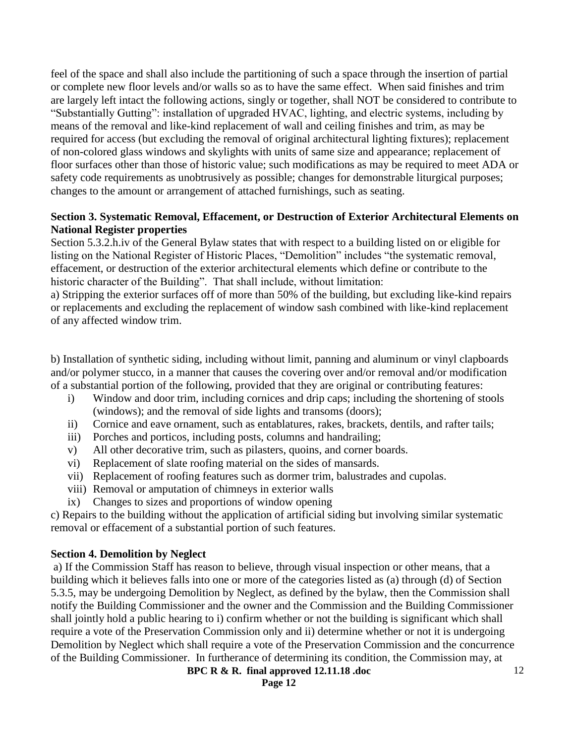feel of the space and shall also include the partitioning of such a space through the insertion of partial or complete new floor levels and/or walls so as to have the same effect. When said finishes and trim are largely left intact the following actions, singly or together, shall NOT be considered to contribute to "Substantially Gutting": installation of upgraded HVAC, lighting, and electric systems, including by means of the removal and like-kind replacement of wall and ceiling finishes and trim, as may be required for access (but excluding the removal of original architectural lighting fixtures); replacement of non-colored glass windows and skylights with units of same size and appearance; replacement of floor surfaces other than those of historic value; such modifications as may be required to meet ADA or safety code requirements as unobtrusively as possible; changes for demonstrable liturgical purposes; changes to the amount or arrangement of attached furnishings, such as seating.

# **Section 3. Systematic Removal, Effacement, or Destruction of Exterior Architectural Elements on National Register properties**

Section 5.3.2.h.iv of the General Bylaw states that with respect to a building listed on or eligible for listing on the National Register of Historic Places, "Demolition" includes "the systematic removal, effacement, or destruction of the exterior architectural elements which define or contribute to the historic character of the Building". That shall include, without limitation:

a) Stripping the exterior surfaces off of more than 50% of the building, but excluding like-kind repairs or replacements and excluding the replacement of window sash combined with like-kind replacement of any affected window trim.

b) Installation of synthetic siding, including without limit, panning and aluminum or vinyl clapboards and/or polymer stucco, in a manner that causes the covering over and/or removal and/or modification of a substantial portion of the following, provided that they are original or contributing features:

- i) Window and door trim, including cornices and drip caps; including the shortening of stools (windows); and the removal of side lights and transoms (doors);
- ii) Cornice and eave ornament, such as entablatures, rakes, brackets, dentils, and rafter tails;
- iii) Porches and porticos, including posts, columns and handrailing;
- v) All other decorative trim, such as pilasters, quoins, and corner boards.
- vi) Replacement of slate roofing material on the sides of mansards.
- vii) Replacement of roofing features such as dormer trim, balustrades and cupolas.
- viii) Removal or amputation of chimneys in exterior walls
- ix) Changes to sizes and proportions of window opening

c) Repairs to the building without the application of artificial siding but involving similar systematic removal or effacement of a substantial portion of such features.

# **Section 4. Demolition by Neglect**

a) If the Commission Staff has reason to believe, through visual inspection or other means, that a building which it believes falls into one or more of the categories listed as (a) through (d) of Section 5.3.5, may be undergoing Demolition by Neglect, as defined by the bylaw, then the Commission shall notify the Building Commissioner and the owner and the Commission and the Building Commissioner shall jointly hold a public hearing to i) confirm whether or not the building is significant which shall require a vote of the Preservation Commission only and ii) determine whether or not it is undergoing Demolition by Neglect which shall require a vote of the Preservation Commission and the concurrence of the Building Commissioner. In furtherance of determining its condition, the Commission may, at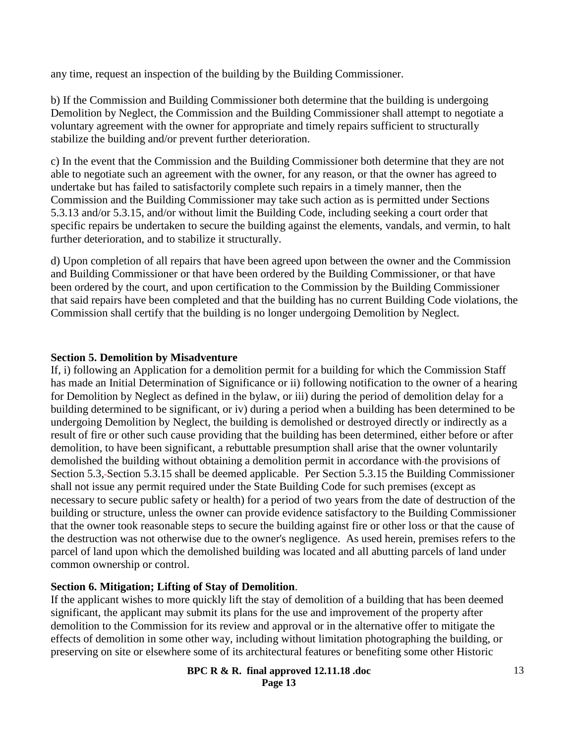any time, request an inspection of the building by the Building Commissioner.

b) If the Commission and Building Commissioner both determine that the building is undergoing Demolition by Neglect, the Commission and the Building Commissioner shall attempt to negotiate a voluntary agreement with the owner for appropriate and timely repairs sufficient to structurally stabilize the building and/or prevent further deterioration.

c) In the event that the Commission and the Building Commissioner both determine that they are not able to negotiate such an agreement with the owner, for any reason, or that the owner has agreed to undertake but has failed to satisfactorily complete such repairs in a timely manner, then the Commission and the Building Commissioner may take such action as is permitted under Sections 5.3.13 and/or 5.3.15, and/or without limit the Building Code, including seeking a court order that specific repairs be undertaken to secure the building against the elements, vandals, and vermin, to halt further deterioration, and to stabilize it structurally.

d) Upon completion of all repairs that have been agreed upon between the owner and the Commission and Building Commissioner or that have been ordered by the Building Commissioner, or that have been ordered by the court, and upon certification to the Commission by the Building Commissioner that said repairs have been completed and that the building has no current Building Code violations, the Commission shall certify that the building is no longer undergoing Demolition by Neglect.

#### **Section 5. Demolition by Misadventure**

If, i) following an Application for a demolition permit for a building for which the Commission Staff has made an Initial Determination of Significance or ii) following notification to the owner of a hearing for Demolition by Neglect as defined in the bylaw, or iii) during the period of demolition delay for a building determined to be significant, or iv) during a period when a building has been determined to be undergoing Demolition by Neglect, the building is demolished or destroyed directly or indirectly as a result of fire or other such cause providing that the building has been determined, either before or after demolition, to have been significant, a rebuttable presumption shall arise that the owner voluntarily demolished the building without obtaining a demolition permit in accordance with the provisions of Section 5.3, Section 5.3.15 shall be deemed applicable. Per Section 5.3.15 the Building Commissioner shall not issue any permit required under the State Building Code for such premises (except as necessary to secure public safety or health) for a period of two years from the date of destruction of the building or structure, unless the owner can provide evidence satisfactory to the Building Commissioner that the owner took reasonable steps to secure the building against fire or other loss or that the cause of the destruction was not otherwise due to the owner's negligence. As used herein, premises refers to the parcel of land upon which the demolished building was located and all abutting parcels of land under common ownership or control.

# **Section 6. Mitigation; Lifting of Stay of Demolition**.

If the applicant wishes to more quickly lift the stay of demolition of a building that has been deemed significant, the applicant may submit its plans for the use and improvement of the property after demolition to the Commission for its review and approval or in the alternative offer to mitigate the effects of demolition in some other way, including without limitation photographing the building, or preserving on site or elsewhere some of its architectural features or benefiting some other Historic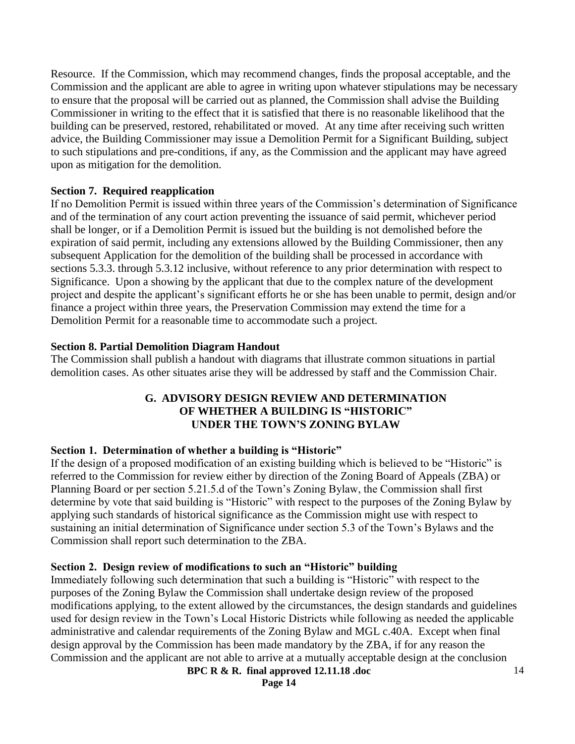Resource. If the Commission, which may recommend changes, finds the proposal acceptable, and the Commission and the applicant are able to agree in writing upon whatever stipulations may be necessary to ensure that the proposal will be carried out as planned, the Commission shall advise the Building Commissioner in writing to the effect that it is satisfied that there is no reasonable likelihood that the building can be preserved, restored, rehabilitated or moved. At any time after receiving such written advice, the Building Commissioner may issue a Demolition Permit for a Significant Building, subject to such stipulations and pre-conditions, if any, as the Commission and the applicant may have agreed upon as mitigation for the demolition.

# **Section 7. Required reapplication**

If no Demolition Permit is issued within three years of the Commission's determination of Significance and of the termination of any court action preventing the issuance of said permit, whichever period shall be longer, or if a Demolition Permit is issued but the building is not demolished before the expiration of said permit, including any extensions allowed by the Building Commissioner, then any subsequent Application for the demolition of the building shall be processed in accordance with sections 5.3.3. through 5.3.12 inclusive, without reference to any prior determination with respect to Significance. Upon a showing by the applicant that due to the complex nature of the development project and despite the applicant's significant efforts he or she has been unable to permit, design and/or finance a project within three years, the Preservation Commission may extend the time for a Demolition Permit for a reasonable time to accommodate such a project.

# **Section 8. Partial Demolition Diagram Handout**

The Commission shall publish a handout with diagrams that illustrate common situations in partial demolition cases. As other situates arise they will be addressed by staff and the Commission Chair.

# **G. ADVISORY DESIGN REVIEW AND DETERMINATION OF WHETHER A BUILDING IS "HISTORIC" UNDER THE TOWN'S ZONING BYLAW**

# **Section 1. Determination of whether a building is "Historic"**

If the design of a proposed modification of an existing building which is believed to be "Historic" is referred to the Commission for review either by direction of the Zoning Board of Appeals (ZBA) or Planning Board or per section 5.21.5.d of the Town's Zoning Bylaw, the Commission shall first determine by vote that said building is "Historic" with respect to the purposes of the Zoning Bylaw by applying such standards of historical significance as the Commission might use with respect to sustaining an initial determination of Significance under section 5.3 of the Town's Bylaws and the Commission shall report such determination to the ZBA.

# **Section 2. Design review of modifications to such an "Historic" building**

Immediately following such determination that such a building is "Historic" with respect to the purposes of the Zoning Bylaw the Commission shall undertake design review of the proposed modifications applying, to the extent allowed by the circumstances, the design standards and guidelines used for design review in the Town's Local Historic Districts while following as needed the applicable administrative and calendar requirements of the Zoning Bylaw and MGL c.40A. Except when final design approval by the Commission has been made mandatory by the ZBA, if for any reason the Commission and the applicant are not able to arrive at a mutually acceptable design at the conclusion